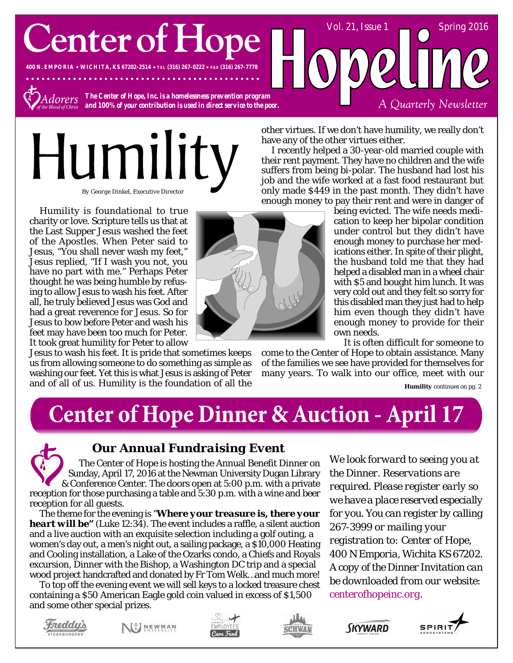**Center of Hope** 

**400 N. EMPORIA WICHITA, KS 67202-2514 TEL (316) 267-0222 FAX (316) 267-7778**



*The Center of Hope, Inc. is a homelessness prevention program and 100% of your contribution is used in direct service to the poor.*

. . . . . . . . . . . . .

# Humilit *By George Dinkel, Executive Director*

Humility is foundational to true charity or love. Scripture tells us that at the Last Supper Jesus washed the feet of the Apostles. When Peter said to Jesus, "You shall never wash my feet," Jesus replied, "If I wash you not, you have no part with me." Perhaps Peter thought he was being humble by refusing to allow Jesus to wash his feet. After all, he truly believed Jesus was God and had a great reverence for Jesus. So for Jesus to bow before Peter and wash his feet may have been too much for Peter. It took great humility for Peter to allow

Jesus to wash his feet. It is pride that sometimes keeps us from allowing someone to do something as simple as washing our feet. Yet this is what Jesus is asking of Peter and of all of us. Humility is the foundation of all the



other virtues. If we don't have humility, we really don't have any of the other virtues either.

I recently helped a 30-year-old married couple with their rent payment. They have no children and the wife suffers from being bi-polar. The husband had lost his job and the wife worked at a fast food restaurant but only made \$449 in the past month. They didn't have enough money to pay their rent and were in danger of

being evicted. The wife needs medication to keep her bipolar condition under control but they didn't have enough money to purchase her medications either. In spite of their plight, the husband told me that they had helped a disabled man in a wheel chair with \$5 and bought him lunch. It was very cold out and they felt so sorry for this disabled man they just had to help him even though they didn't have enough money to provide for their own needs.

Vol. 21, Issue  $1 \quad \bullet$  Spring 2016

A Quarterly Newsletter

It is often difficult for someone to

come to the Center of Hope to obtain assistance. Many of the families we see have provided for themselves for many years. To walk into our office, meet with our

*Humility continues on pg. 2*

## **Center of Hope Dinner & Auction - April 17**

#### *Our Annual Fundraising Event*

The Center of Hope is hosting the Annual Benefit Dinner on Sunday, April 17, 2016 at the Newman University Dugan Library & Conference Center. The doors open at 5:00 p.m. with a private reception for those purchasing a table and 5:30 p.m. with a wine and beer reception for all guests.

The theme for the evening is "*Where your treasure is, there your heart will be"* (Luke 12:34). The event includes a raffle, a silent auction and a live auction with an exquisite selection including a golf outing, a women's day out, a men's night out, a sailing package, a \$10,000 Heating and Cooling installation, a Lake of the Ozarks condo, a Chiefs and Royals excursion, Dinner with the Bishop, a Washington DC trip and a special wood project handcrafted and donated by Fr Tom Welk…and much more!

To top off the evening event we will sell keys to a locked treasure chest containing a \$50 American Eagle gold coin valued in excess of \$1,500 and some other special prizes.

*We look forward to seeing you at the Dinner. Reservations are required. Please register early so we have a place reserved especially for you. You can register by calling 267-3999 or mailing your registration to: Center of Hope, 400 N Emporia, Wichita KS 67202. A copy of the Dinner Invitation can be downloaded from our website: centerofhopeinc.org.*



NJ NEWMAN







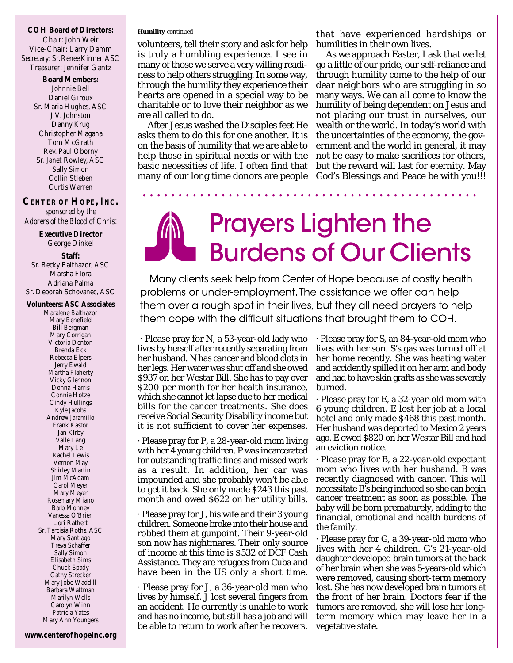**COH Board of Directors:** Chair: John Weir Vice-Chair: Larry Damm Secretary: Sr. Renee Kirmer, ASC Treasurer: Jennifer Gantz

> **Board Members:** Johnnie Bell Daniel Giroux Sr. Maria Hughes, ASC J.V. Johnston Danny Krug Christopher Magana Tom McGrath Rev. Paul Oborny Sr. Janet Rowley, ASC Sally Simon Collin Stieben Curtis Warren

**CENTER OF HOPE, INC.** *sponsored by the Adorers of the Blood of Christ*

> **Executive Director** George Dinkel

**Staff:** Sr. Becky Balthazor, ASC Marsha Flora Adriana Palma Sr. Deborah Schovanec, ASC

**Volunteers: ASC Associates** Maralene Balthazor Mary Benefield Bill Bergman Mary Corrigan Victoria Denton Brenda Eck Rebecca Elpers Jerry Ewald Martha Flaherty Vicky Glennon Donna Harris Connie Hotze Cindy Hullings Kyle Jacobs Andrew Jaramillo Frank Kastor Jan Kirby Valle Lang Mary Le Rachel Lewis Vernon May Shirley Martin Jim McAdam Carol Meyer Mary Meyer Rosemary Miano Barb Mohney Vanessa O'Brien Lori Rathert Sr. Tarcisia Roths, ASC Mary Santiago Treva Schaffer Sally Simon Elisabeth Sims Chuck Spady Cathy Strecker Mary Jobe Waddill Barbara Wattman Marilyn Wells Carolyn Winn Patricia Yates Mary Ann Youngers

#### *Humility continued*

volunteers, tell their story and ask for help is truly a humbling experience. I see in many of those we serve a very willing readiness to help others struggling. In some way, through the humility they experience their hearts are opened in a special way to be charitable or to love their neighbor as we are all called to do.

After Jesus washed the Disciples feet He asks them to do this for one another. It is on the basis of humility that we are able to help those in spiritual needs or with the basic necessities of life. I often find that many of our long time donors are people

that have experienced hardships or humilities in their own lives.

As we approach Easter, I ask that we let go a little of our pride, our self-reliance and through humility come to the help of our dear neighbors who are struggling in so many ways. We can all come to know the humility of being dependent on Jesus and not placing our trust in ourselves, our wealth or the world. In today's world with the uncertainties of the economy, the government and the world in general, it may not be easy to make sacrifices for others, but the reward will last for eternity. May God's Blessings and Peace be with you!!!

## **Prayers Lighten the Burdens of Our Clients**

Many clients seek help from Center of Hope because of costly health problems or under-employment. The assistance we offer can help them over a rough spot in their lives, but they all need prayers to help them cope with the difficult situations that brought them to COH.

 · Please pray for N, a 53-year-old lady who lives by herself after recently separating from her husband. N has cancer and blood clots in her legs. Her water was shut off and she owed \$937 on her Westar Bill. She has to pay over \$200 per month for her health insurance, which she cannot let lapse due to her medical bills for the cancer treatments. She does receive Social Security Disability income but it is not sufficient to cover her expenses.

· Please pray for P, a 28-year-old mom living with her 4 young children. P was incarcerated for outstanding traffic fines and missed work as a result. In addition, her car was impounded and she probably won't be able to get it back. She only made \$243 this past month and owed \$622 on her utility bills.

· Please pray for J, his wife and their 3 young children. Someone broke into their house and robbed them at gunpoint. Their 9-year-old son now has nightmares. Their only source of income at this time is \$532 of DCF Cash Assistance. They are refugees from Cuba and have been in the US only a short time.

· Please pray for J, a 36-year-old man who lives by himself. J lost several fingers from an accident. He currently is unable to work and has no income, but still has a job and will be able to return to work after he recovers. · Please pray for S, an 84-year-old mom who lives with her son. S's gas was turned off at her home recently. She was heating water and accidently spilled it on her arm and body and had to have skin grafts as she was severely burned.

· Please pray for E, a 32-year-old mom with 6 young children. E lost her job at a local hotel and only made \$468 this past month. Her husband was deported to Mexico 2 years ago. E owed \$820 on her Westar Bill and had an eviction notice.

· Please pray for B, a 22-year-old expectant mom who lives with her husband. B was recently diagnosed with cancer. This will necessitate B's being induced so she can begin cancer treatment as soon as possible. The baby will be born prematurely, adding to the financial, emotional and health burdens of the family.

· Please pray for G, a 39-year-old mom who lives with her 4 children. G's 21-year-old daughter developed brain tumors at the back of her brain when she was 5-years-old which were removed, causing short-term memory lost. She has now developed brain tumors at the front of her brain. Doctors fear if the tumors are removed, she will lose her longterm memory which may leave her in a vegetative state.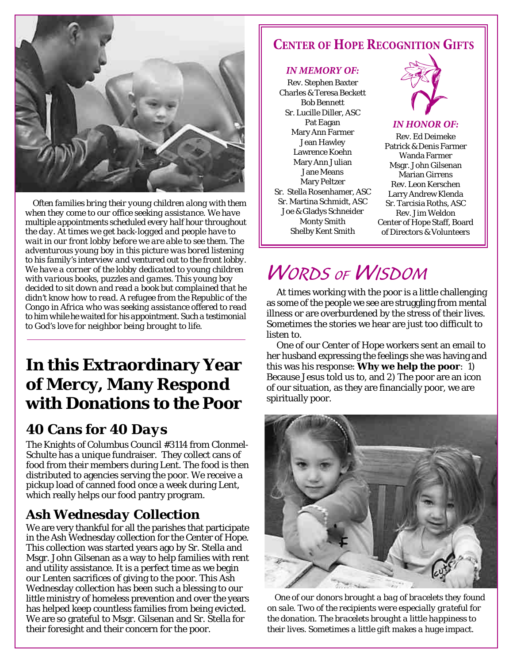

*Often families bring their young children along with them when they come to our office seeking assistance. We have multiple appointments scheduled every half hour throughout the day. At times we get back-logged and people have to wait in our front lobby before we are able to see them. The adventurous young boy in this picture was bored listening to his family's interview and ventured out to the front lobby. We have a corner of the lobby dedicated to young children with various books, puzzles and games. This young boy decided to sit down and read a book but complained that he didn't know how to read. A refugee from the Republic of the Congo in Africa who was seeking assistance offered to read to him while he waited for his appointment. Such a testimonial to God's love for neighbor being brought to life.*

## **In this Extraordinary Year of Mercy, Many Respond with Donations to the Poor**

### *40 Cans for 40 Days*

The Knights of Columbus Council #3114 from Clonmel-Schulte has a unique fundraiser. They collect cans of food from their members during Lent. The food is then distributed to agencies serving the poor. We receive a pickup load of canned food once a week during Lent, which really helps our food pantry program.

### *Ash Wednesday Collection*

We are very thankful for all the parishes that participate in the Ash Wednesday collection for the Center of Hope. This collection was started years ago by Sr. Stella and Msgr. John Gilsenan as a way to help families with rent and utility assistance. It is a perfect time as we begin our Lenten sacrifices of giving to the poor. This Ash Wednesday collection has been such a blessing to our little ministry of homeless prevention and over the years has helped keep countless families from being evicted. We are so grateful to Msgr. Gilsenan and Sr. Stella for their foresight and their concern for the poor.

### **CENTER OF HOPE RECOGNITION GIFTS**

#### **IN MEMORY OF:**

Rev. Stephen Baxter Charles & Teresa Beckett Bob Bennett Sr. Lucille Diller, ASC Pat Eagan Mary Ann Farmer Jean Hawley Lawrence Koehn Mary Ann Julian Jane Means Mary Peltzer Sr. Stella Rosenhamer, ASC Sr. Martina Schmidt, ASC Joe & Gladys Schneider Monty Smith Shelby Kent Smith



#### **IN HONOR OF:**

Rev. Ed Deimeke Patrick & Denis Farmer Wanda Farmer Msgr. John Gilsenan Marian Girrens Rev. Leon Kerschen Larry Andrew Klenda Sr. Tarcisia Roths, ASC Rev. Jim Weldon Center of Hope Staff, Board of Directors & Volunteers

## **WORDS OF WISDOM**

At times working with the poor is a little challenging as some of the people we see are struggling from mental illness or are overburdened by the stress of their lives. Sometimes the stories we hear are just too difficult to listen to.

One of our Center of Hope workers sent an email to her husband expressing the feelings she was having and this was his response: **Why we help the poor**: 1) Because Jesus told us to, and 2) The poor are an icon of our situation, as they are financially poor, we are spiritually poor.



*One of our donors brought a bag of bracelets they found on sale. Two of the recipients were especially grateful for the donation. The bracelets brought a little happiness to their lives. Sometimes a little gift makes a huge impact.*